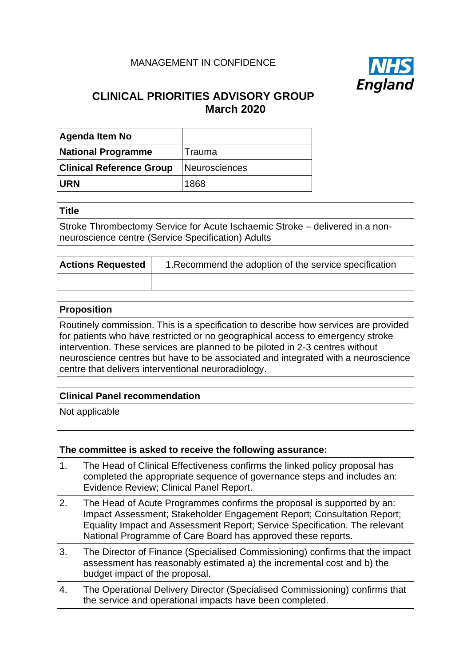# MANAGEMENT IN CONFIDENCE



# **CLINICAL PRIORITIES ADVISORY GROUP March 2020**

| <b>Agenda Item No</b>           |               |
|---------------------------------|---------------|
| <b>National Programme</b>       | Trauma        |
| <b>Clinical Reference Group</b> | Neurosciences |
| <b>URN</b>                      | 1868          |

#### **Title**

Stroke Thrombectomy Service for Acute Ischaemic Stroke – delivered in a nonneuroscience centre (Service Specification) Adults

| <b>Actions Requested</b> | 1. Recommend the adoption of the service specification |
|--------------------------|--------------------------------------------------------|
|                          |                                                        |

#### **Proposition**

Routinely commission. This is a specification to describe how services are provided for patients who have restricted or no geographical access to emergency stroke intervention. These services are planned to be piloted in 2-3 centres without neuroscience centres but have to be associated and integrated with a neuroscience centre that delivers interventional neuroradiology.

### **Clinical Panel recommendation**

Not applicable

| The committee is asked to receive the following assurance: |                                                                                                                                                                                                                                                                                                |
|------------------------------------------------------------|------------------------------------------------------------------------------------------------------------------------------------------------------------------------------------------------------------------------------------------------------------------------------------------------|
| 1.                                                         | The Head of Clinical Effectiveness confirms the linked policy proposal has<br>completed the appropriate sequence of governance steps and includes an:<br>Evidence Review; Clinical Panel Report.                                                                                               |
| 2.                                                         | The Head of Acute Programmes confirms the proposal is supported by an:<br>Impact Assessment; Stakeholder Engagement Report; Consultation Report;<br>Equality Impact and Assessment Report; Service Specification. The relevant<br>National Programme of Care Board has approved these reports. |
| 3.                                                         | The Director of Finance (Specialised Commissioning) confirms that the impact<br>assessment has reasonably estimated a) the incremental cost and b) the<br>budget impact of the proposal.                                                                                                       |
| 4.                                                         | The Operational Delivery Director (Specialised Commissioning) confirms that<br>the service and operational impacts have been completed.                                                                                                                                                        |